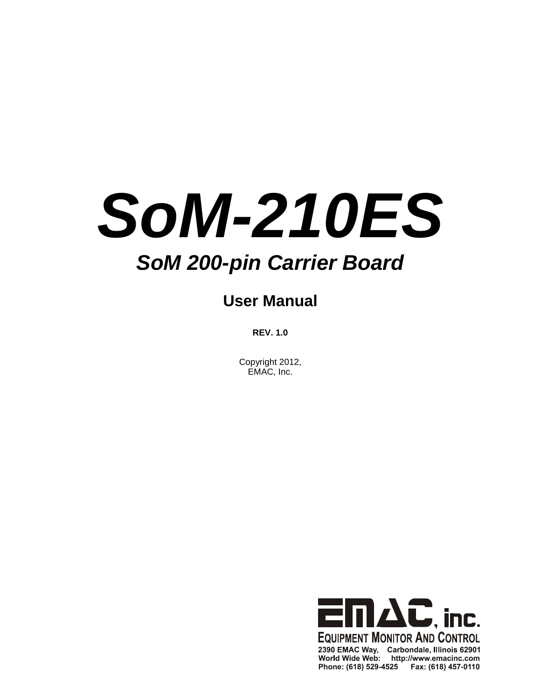# *SoM-210ES*

# *SoM 200-pin Carrier Board*

# **User Manual**

**REV. 1.0**

Copyright 2012, EMAC, Inc.

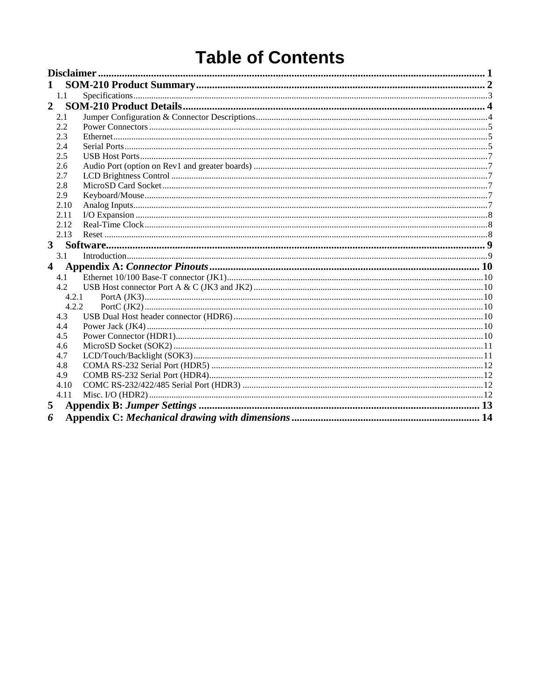# **Table of Contents**

| 1              |       |  |
|----------------|-------|--|
| 1.1            |       |  |
| $\overline{2}$ |       |  |
| 2.1            |       |  |
| 2.2            |       |  |
| 2.3            |       |  |
| 2.4            |       |  |
| 2.5            |       |  |
| 2.6            |       |  |
| 2.7            |       |  |
| 2.8            |       |  |
| 2.9            |       |  |
| 2.10           |       |  |
| 2.11           |       |  |
| 2.12           |       |  |
| 2.13           |       |  |
| 3              |       |  |
| 3.1            |       |  |
| 4              |       |  |
| 4.1            |       |  |
| 4.2            |       |  |
|                | 4.2.1 |  |
|                | 4.2.2 |  |
| 4.3            |       |  |
| 4.4            |       |  |
| 4.5            |       |  |
| 4.6            |       |  |
| 4.7            |       |  |
| 4.8            |       |  |
| 4.9            |       |  |
| 4.10           |       |  |
| 4.11           |       |  |
| 5              |       |  |
| 6              |       |  |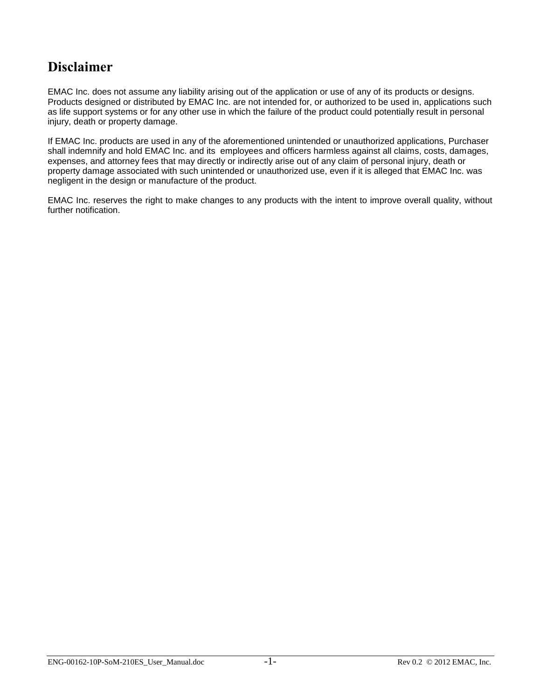## <span id="page-2-0"></span>**Disclaimer**

EMAC Inc. does not assume any liability arising out of the application or use of any of its products or designs. Products designed or distributed by EMAC Inc. are not intended for, or authorized to be used in, applications such as life support systems or for any other use in which the failure of the product could potentially result in personal injury, death or property damage.

If EMAC Inc. products are used in any of the aforementioned unintended or unauthorized applications, Purchaser shall indemnify and hold EMAC Inc. and its employees and officers harmless against all claims, costs, damages, expenses, and attorney fees that may directly or indirectly arise out of any claim of personal injury, death or property damage associated with such unintended or unauthorized use, even if it is alleged that EMAC Inc. was negligent in the design or manufacture of the product.

EMAC Inc. reserves the right to make changes to any products with the intent to improve overall quality, without further notification.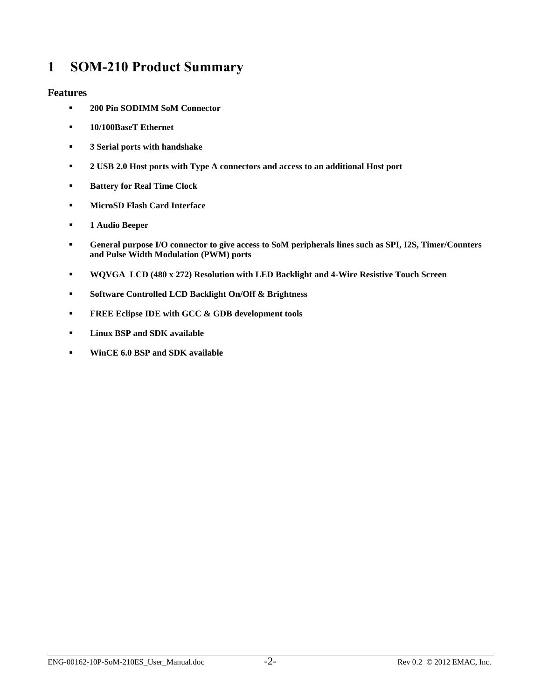## <span id="page-3-0"></span>**1 SOM-210 Product Summary**

#### **Features**

- **200 Pin SODIMM SoM Connector**
- **10/100BaseT Ethernet**
- **3 Serial ports with handshake**
- **2 USB 2.0 Host ports with Type A connectors and access to an additional Host port**
- **Battery for Real Time Clock**
- **MicroSD Flash Card Interface**
- **1 Audio Beeper**
- **General purpose I/O connector to give access to SoM peripherals lines such as SPI, I2S, Timer/Counters and Pulse Width Modulation (PWM) ports**
- **WQVGA LCD (480 x 272) Resolution with LED Backlight and 4-Wire Resistive Touch Screen**
- **Software Controlled LCD Backlight On/Off & Brightness**
- **FREE Eclipse IDE with GCC & GDB development tools**
- **Linux BSP and SDK available**
- **WinCE 6.0 BSP and SDK available**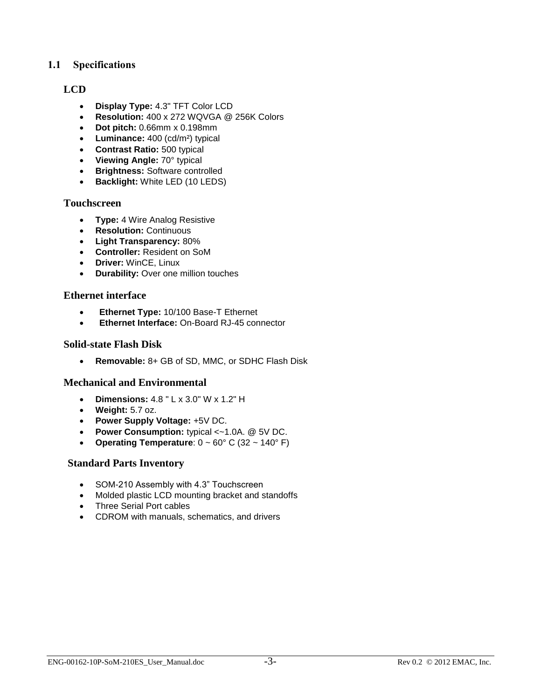#### <span id="page-4-0"></span>**1.1 Specifications**

#### **LCD**

- **Display Type:** 4.3" TFT Color LCD
- **Resolution:** 400 x 272 WQVGA @ 256K Colors
- **Dot pitch:** 0.66mm x 0.198mm
- **Luminance:** 400 (cd/m²) typical
- **Contrast Ratio:** 500 typical
- **Viewing Angle:** 70° typical
- **Brightness:** Software controlled
- **Backlight:** White LED (10 LEDS)

#### **Touchscreen**

- **Type:** 4 Wire Analog Resistive
- **•** Resolution: Continuous
- **Light Transparency:** 80%
- **Controller:** Resident on SoM
- **Driver:** WinCE, Linux
- **Durability:** Over one million touches

#### **Ethernet interface**

- **Ethernet Type:** 10/100 Base-T Ethernet
- **Ethernet Interface:** On-Board RJ-45 connector

#### **Solid-state Flash Disk**

**Removable:** 8+ GB of SD, MMC, or SDHC Flash Disk

#### **Mechanical and Environmental**

- **Dimensions:** 4.8 " L x 3.0" W x 1.2" H
- **Weight:** 5.7 oz.
- **Power Supply Voltage:** +5V DC.
- **Power Consumption:** typical <~1.0A. @ 5V DC.
- **Operating Temperature**:  $0 \sim 60^{\circ}$  C (32  $\sim 140^{\circ}$  F)

#### **Standard Parts Inventory**

- SOM-210 Assembly with 4.3" Touchscreen
- Molded plastic LCD mounting bracket and standoffs
- Three Serial Port cables
- CDROM with manuals, schematics, and drivers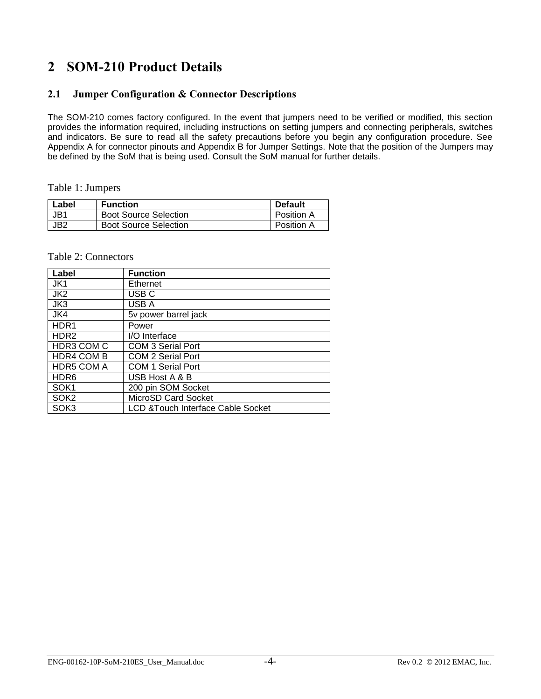## <span id="page-5-0"></span>**2 SOM-210 Product Details**

#### <span id="page-5-1"></span>**2.1 Jumper Configuration & Connector Descriptions**

The SOM-210 comes factory configured. In the event that jumpers need to be verified or modified, this section provides the information required, including instructions on setting jumpers and connecting peripherals, switches and indicators. Be sure to read all the safety precautions before you begin any configuration procedure. See Appendix A for connector pinouts and Appendix B for Jumper Settings. Note that the position of the Jumpers may be defined by the SoM that is being used. Consult the SoM manual for further details.

Table 1: Jumpers

| Label | <b>Function</b>              | <b>Default</b> |
|-------|------------------------------|----------------|
| JB1   | <b>Boot Source Selection</b> | Position A     |
| JB2   | <b>Boot Source Selection</b> | Position A     |

#### Table 2: Connectors

| Label             | <b>Function</b>                               |
|-------------------|-----------------------------------------------|
| JK1               | Ethernet                                      |
| JK <sub>2</sub>   | USB <sub>C</sub>                              |
| JK3               | USB A                                         |
| JK4               | 5v power barrel jack                          |
| HDR <sub>1</sub>  | Power                                         |
| HDR <sub>2</sub>  | I/O Interface                                 |
| HDR3 COM C        | <b>COM 3 Serial Port</b>                      |
| <b>HDR4 COM B</b> | <b>COM 2 Serial Port</b>                      |
| <b>HDR5 COM A</b> | <b>COM 1 Serial Port</b>                      |
| HDR <sub>6</sub>  | USB Host A & B                                |
| SOK <sub>1</sub>  | 200 pin SOM Socket                            |
| SOK <sub>2</sub>  | MicroSD Card Socket                           |
| SOK3              | <b>LCD &amp; Touch Interface Cable Socket</b> |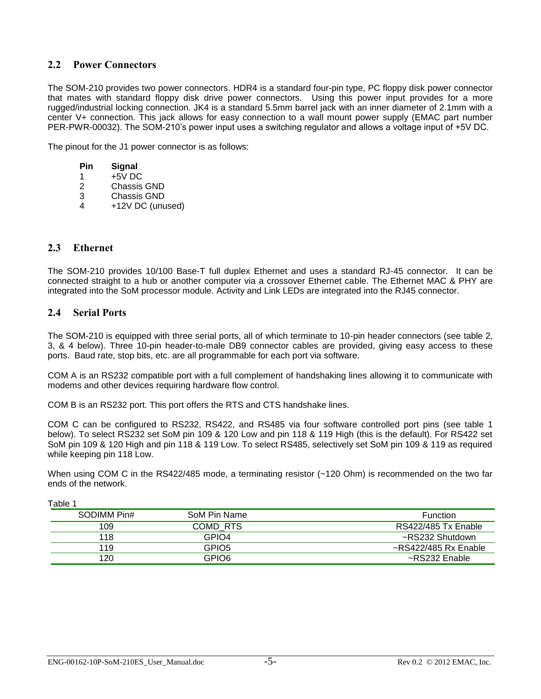#### <span id="page-6-0"></span>**2.2 Power Connectors**

The SOM-210 provides two power connectors. HDR4 is a standard four-pin type, PC floppy disk power connector that mates with standard floppy disk drive power connectors. Using this power input provides for a more rugged/industrial locking connection. JK4 is a standard 5.5mm barrel jack with an inner diameter of 2.1mm with a center V+ connection. This jack allows for easy connection to a wall mount power supply (EMAC part number PER-PWR-00032). The SOM-210's power input uses a switching regulator and allows a voltage input of +5V DC.

The pinout for the J1 power connector is as follows:

- **Pin Signal**
- 1  $+5\overline{V}$  DC
- 2 Chassis GND
- 3 Chassis GND
- 4 +12V DC (unused)

#### <span id="page-6-1"></span>**2.3 Ethernet**

The SOM-210 provides 10/100 Base-T full duplex Ethernet and uses a standard RJ-45 connector. It can be connected straight to a hub or another computer via a crossover Ethernet cable. The Ethernet MAC & PHY are integrated into the SoM processor module. Activity and Link LEDs are integrated into the RJ45 connector.

#### <span id="page-6-2"></span>**2.4 Serial Ports**

The SOM-210 is equipped with three serial ports, all of which terminate to 10-pin header connectors (see table 2, 3, & 4 below). Three 10-pin header-to-male DB9 connector cables are provided, giving easy access to these ports. Baud rate, stop bits, etc. are all programmable for each port via software.

COM A is an RS232 compatible port with a full complement of handshaking lines allowing it to communicate with modems and other devices requiring hardware flow control.

COM B is an RS232 port. This port offers the RTS and CTS handshake lines.

COM C can be configured to RS232, RS422, and RS485 via four software controlled port pins (see table 1 below). To select RS232 set SoM pin 109 & 120 Low and pin 118 & 119 High (this is the default). For RS422 set SoM pin 109 & 120 High and pin 118 & 119 Low. To select RS485, selectively set SoM pin 109 & 119 as required while keeping pin 118 Low.

When using COM C in the RS422/485 mode, a terminating resistor (~120 Ohm) is recommended on the two far ends of the network.

| i uvivi     |                   |                            |
|-------------|-------------------|----------------------------|
| SODIMM Pin# | SoM Pin Name      | <b>Function</b>            |
| 109         | COMD RTS          | RS422/485 Tx Enable        |
| 118         | GPIO4             | ~RS232 Shutdown            |
| 119         | GPIO <sub>5</sub> | $\sim$ RS422/485 Rx Enable |
| 120         | GPIO6             | ~RS232 Enable              |
|             |                   |                            |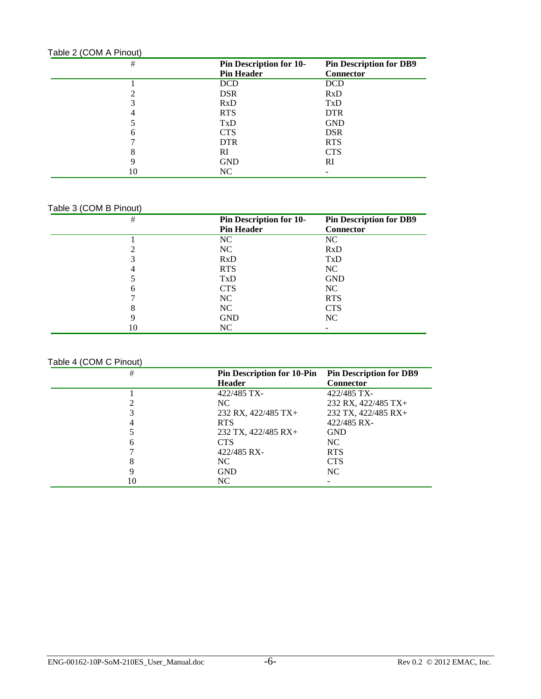| Table 2 (COM A Pinout) |                                                     |                                                    |  |
|------------------------|-----------------------------------------------------|----------------------------------------------------|--|
| #                      | <b>Pin Description for 10-</b><br><b>Pin Header</b> | <b>Pin Description for DB9</b><br><b>Connector</b> |  |
|                        | <b>DCD</b>                                          | <b>DCD</b>                                         |  |
|                        | <b>DSR</b>                                          | <b>RxD</b>                                         |  |
|                        | RxD                                                 | TxD                                                |  |
| 4                      | <b>RTS</b>                                          | <b>DTR</b>                                         |  |
|                        | TxD                                                 | <b>GND</b>                                         |  |
| 6                      | <b>CTS</b>                                          | <b>DSR</b>                                         |  |
|                        | <b>DTR</b>                                          | <b>RTS</b>                                         |  |
| o<br>δ                 | RI                                                  | <b>CTS</b>                                         |  |
| q                      | <b>GND</b>                                          | RI                                                 |  |
|                        | NC                                                  |                                                    |  |

#### Table 3 (COM B Pinout)

| $\#$ | <b>Pin Description for 10-</b> | <b>Pin Description for DB9</b> |
|------|--------------------------------|--------------------------------|
|      | <b>Pin Header</b>              | Connector                      |
|      | NC                             | NC                             |
|      | NC                             | <b>RxD</b>                     |
| 3    | RxD                            | TxD                            |
| 4    | <b>RTS</b>                     | NC                             |
|      | TxD                            | <b>GND</b>                     |
| 6    | <b>CTS</b>                     | NC                             |
|      | NC                             | <b>RTS</b>                     |
| 8    | NC                             | <b>CTS</b>                     |
| q    | <b>GND</b>                     | NC.                            |
| 10   | NC                             |                                |

#### Table 4 (COM C Pinout)

| #  | Pin Description for 10-Pin Pin Description for DB9 |                     |
|----|----------------------------------------------------|---------------------|
|    | <b>Header</b>                                      | <b>Connector</b>    |
|    | 422/485 TX-                                        | 422/485 TX-         |
|    | NC.                                                | 232 RX, 422/485 TX+ |
|    | 232 RX, 422/485 TX+                                | 232 TX, 422/485 RX+ |
|    | <b>RTS</b>                                         | 422/485 RX-         |
|    | 232 TX, 422/485 RX+                                | <b>GND</b>          |
| h  | <b>CTS</b>                                         | NC                  |
|    | 422/485 RX-                                        | <b>RTS</b>          |
|    | NC.                                                | <b>CTS</b>          |
| Q  | <b>GND</b>                                         | NC                  |
| 10 | NC.                                                |                     |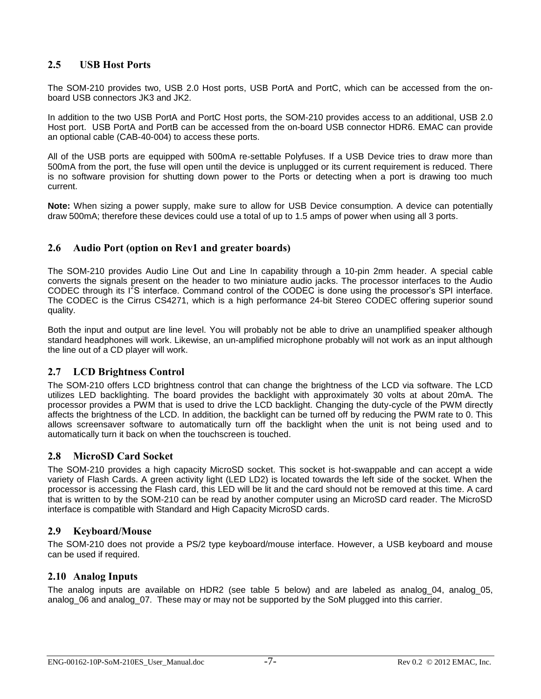#### <span id="page-8-0"></span>**2.5 USB Host Ports**

The SOM-210 provides two, USB 2.0 Host ports, USB PortA and PortC, which can be accessed from the onboard USB connectors JK3 and JK2.

In addition to the two USB PortA and PortC Host ports, the SOM-210 provides access to an additional, USB 2.0 Host port. USB PortA and PortB can be accessed from the on-board USB connector HDR6. EMAC can provide an optional cable (CAB-40-004) to access these ports.

All of the USB ports are equipped with 500mA re-settable Polyfuses. If a USB Device tries to draw more than 500mA from the port, the fuse will open until the device is unplugged or its current requirement is reduced. There is no software provision for shutting down power to the Ports or detecting when a port is drawing too much current.

**Note:** When sizing a power supply, make sure to allow for USB Device consumption. A device can potentially draw 500mA; therefore these devices could use a total of up to 1.5 amps of power when using all 3 ports.

#### <span id="page-8-1"></span>**2.6 Audio Port (option on Rev1 and greater boards)**

The SOM-210 provides Audio Line Out and Line In capability through a 10-pin 2mm header. A special cable converts the signals present on the header to two miniature audio jacks. The processor interfaces to the Audio CODEC through its I<sup>2</sup>S interface. Command control of the CODEC is done using the processor's SPI interface. The CODEC is the Cirrus CS4271, which is a high performance 24-bit Stereo CODEC offering superior sound quality.

Both the input and output are line level. You will probably not be able to drive an unamplified speaker although standard headphones will work. Likewise, an un-amplified microphone probably will not work as an input although the line out of a CD player will work.

#### <span id="page-8-2"></span>**2.7 LCD Brightness Control**

The SOM-210 offers LCD brightness control that can change the brightness of the LCD via software. The LCD utilizes LED backlighting. The board provides the backlight with approximately 30 volts at about 20mA. The processor provides a PWM that is used to drive the LCD backlight. Changing the duty-cycle of the PWM directly affects the brightness of the LCD. In addition, the backlight can be turned off by reducing the PWM rate to 0. This allows screensaver software to automatically turn off the backlight when the unit is not being used and to automatically turn it back on when the touchscreen is touched.

#### <span id="page-8-3"></span>**2.8 MicroSD Card Socket**

The SOM-210 provides a high capacity MicroSD socket. This socket is hot-swappable and can accept a wide variety of Flash Cards. A green activity light (LED LD2) is located towards the left side of the socket. When the processor is accessing the Flash card, this LED will be lit and the card should not be removed at this time. A card that is written to by the SOM-210 can be read by another computer using an MicroSD card reader. The MicroSD interface is compatible with Standard and High Capacity MicroSD cards.

#### <span id="page-8-4"></span>**2.9 Keyboard/Mouse**

The SOM-210 does not provide a PS/2 type keyboard/mouse interface. However, a USB keyboard and mouse can be used if required.

#### <span id="page-8-5"></span>**2.10 Analog Inputs**

The analog inputs are available on HDR2 (see table 5 below) and are labeled as analog\_04, analog\_05, analog 06 and analog 07. These may or may not be supported by the SoM plugged into this carrier.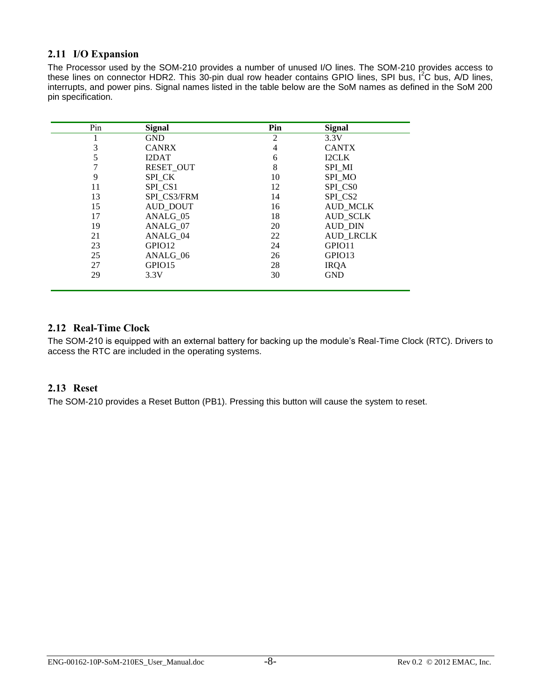#### <span id="page-9-0"></span>**2.11 I/O Expansion**

The Processor used by the SOM-210 provides a number of unused I/O lines. The SOM-210 provides access to these lines on connector HDR2. This 30-pin dual row header contains GPIO lines, SPI bus,  $1^2C$  bus, A/D lines, interrupts, and power pins. Signal names listed in the table below are the SoM names as defined in the SoM 200 pin specification.

| Pin | <b>Signal</b>    | Pin | <b>Signal</b>       |
|-----|------------------|-----|---------------------|
|     | <b>GND</b>       | 2   | 3.3V                |
| 3   | <b>CANRX</b>     | 4   | <b>CANTX</b>        |
|     | I2DAT            | 6   | <b>I2CLK</b>        |
|     | <b>RESET OUT</b> | 8   | SPI MI              |
| 9   | SPI CK           | 10  | SPI MO              |
| 11  | SPI CS1          | 12  | SPI_CS0             |
| 13  | SPI CS3/FRM      | 14  | SPI CS <sub>2</sub> |
| 15  | <b>AUD_DOUT</b>  | 16  | <b>AUD MCLK</b>     |
| 17  | ANALG 05         | 18  | <b>AUD SCLK</b>     |
| 19  | ANALG 07         | 20  | <b>AUD_DIN</b>      |
| 21  | ANALG 04         | 22  | <b>AUD LRCLK</b>    |
| 23  | GPIO12           | 24  | GPIO11              |
| 25  | ANALG 06         | 26  | GPIO13              |
| 27  | GPIO15           | 28  | <b>IRQA</b>         |
| 29  | 3.3V             | 30  | <b>GND</b>          |

#### <span id="page-9-1"></span>**2.12 Real-Time Clock**

The SOM-210 is equipped with an external battery for backing up the module's Real-Time Clock (RTC). Drivers to access the RTC are included in the operating systems.

#### <span id="page-9-2"></span>**2.13 Reset**

The SOM-210 provides a Reset Button (PB1). Pressing this button will cause the system to reset.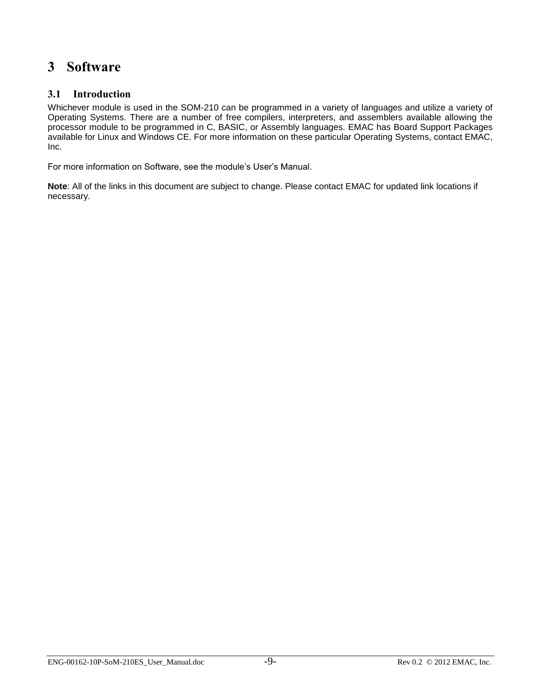## <span id="page-10-0"></span>**3 Software**

#### <span id="page-10-1"></span>**3.1 Introduction**

Whichever module is used in the SOM-210 can be programmed in a variety of languages and utilize a variety of Operating Systems. There are a number of free compilers, interpreters, and assemblers available allowing the processor module to be programmed in C, BASIC, or Assembly languages. EMAC has Board Support Packages available for Linux and Windows CE. For more information on these particular Operating Systems, contact EMAC, Inc.

For more information on Software, see the module's User's Manual.

**Note**: All of the links in this document are subject to change. Please contact EMAC for updated link locations if necessary.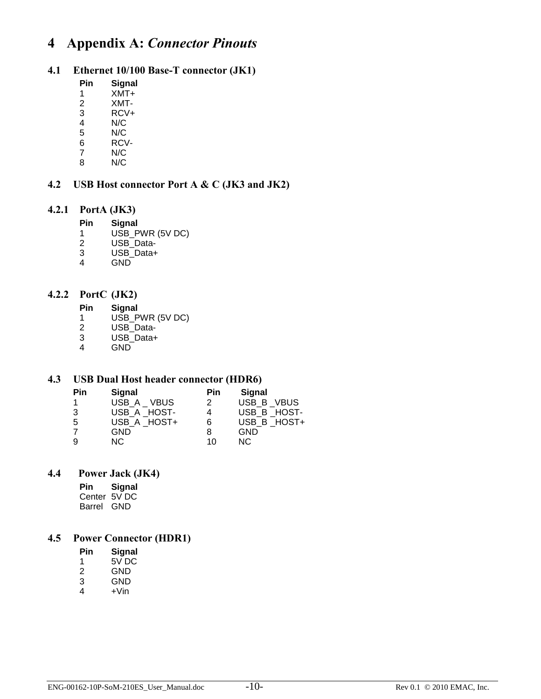## <span id="page-11-0"></span>**4 Appendix A:** *Connector Pinouts*

#### <span id="page-11-1"></span>**4.1 Ethernet 10/100 Base-T connector (JK1)**

- **Pin Signal**
- 1 XMT+
- 2 XMT-
- 3 RCV+
- 4 N/C<br>5 N/C 5 N/C
- 
- 6 RCV-<br>7 N/C  $N/C$
- 8 N/C

#### <span id="page-11-2"></span>**4.2 USB Host connector Port A & C (JK3 and JK2)**

#### <span id="page-11-3"></span>**4.2.1 PortA (JK3)**

- **Pin Signal**
- 1 USB\_PWR (5V DC)<br>2 USB Data-
- USB\_Data-
- 3 USB\_Data+
- 4 GND

#### <span id="page-11-4"></span>**4.2.2 PortC (JK2)**

- **Pin Signal**
- 1 USB\_PWR (5V DC)
- 2 USB\_Data-
- 3 USB\_Data+
- 4 GND

#### <span id="page-11-5"></span>**4.3 USB Dual Host header connector (HDR6)**

| Pin | <b>Signal</b> | Pin | <b>Signal</b> |
|-----|---------------|-----|---------------|
|     | USB A VBUS    | 2   | USB B VBUS    |
| 3   | USB A HOST-   | 4   | USB B HOST-   |
| 5   | USB A HOST+   | 6   | USB B HOST+   |
|     | GND           | 8   | <b>GND</b>    |
| 9   | NC.           | 10  | NC.           |

#### **4.4 Power Jack (JK4)**

<span id="page-11-6"></span>**Pin Signal** Center 5V DC Barrel GND

#### <span id="page-11-7"></span>**4.5 Power Connector (HDR1)**

- **Pin Signal**
- 1 5V DC
- 2 GND
- 3 GND
- $4 +$ Vin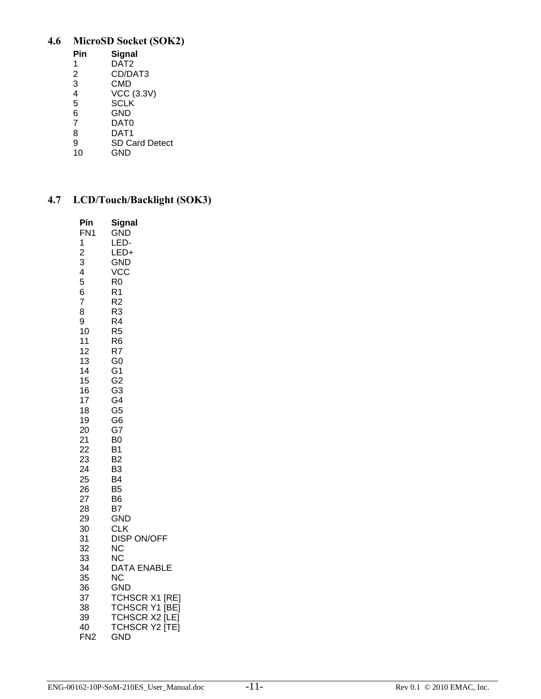### <span id="page-12-0"></span>**4.6 MicroSD Socket (SOK2)**

| Pin                     | Signal                |
|-------------------------|-----------------------|
| 1                       | DAT <sub>2</sub>      |
| $\overline{2}$          | CD/DAT3               |
| $\overline{3}$          | CMD                   |
| $\overline{\mathbf{4}}$ | <b>VCC (3.3V)</b>     |
| 5                       | <b>SCLK</b>           |
| 6                       | GND                   |
| $\overline{7}$          | DAT0                  |
| 8                       | DAT1                  |
| 9                       | <b>SD Card Detect</b> |
| 10                      | GND                   |

GND

#### <span id="page-12-1"></span>**4.7 LCD/Touch/Backlight (SOK3)**

| Pin             | Signal                          |
|-----------------|---------------------------------|
| FN1             | <b>GND</b>                      |
| 1               | LED-                            |
| $\overline{c}$  | LED+                            |
| 3               | <b>GND</b>                      |
| 4               | <b>VCC</b>                      |
| 5               | R0                              |
| 6               | R1                              |
| $\overline{7}$  | R <sub>2</sub>                  |
| 8               | R3                              |
| 9               | R4                              |
| 10              | R5                              |
| 11              | R6                              |
| 12              | R7                              |
| 13              | G0<br>G <sub>1</sub>            |
| 14<br>15        | G <sub>2</sub>                  |
| 16              | G <sub>3</sub>                  |
| 17              | G4                              |
| 18              | G <sub>5</sub>                  |
| 19              | G <sub>6</sub>                  |
| 20              | G7                              |
| 21              | B <sub>0</sub>                  |
| 22              | Β1                              |
| 23              | B <sub>2</sub>                  |
| 24              | B3                              |
| 25              | B4                              |
| 26              | B <sub>5</sub>                  |
| 27              | B <sub>6</sub>                  |
| 28              | B7                              |
| 29              | <b>GND</b>                      |
| 30              | <b>CLK</b>                      |
| 31              | <b>DISP ON/OFF</b><br><b>NC</b> |
| 32<br>33        | <b>NC</b>                       |
| 34              | DATA ENABLE                     |
| 35              | <b>NC</b>                       |
| 36              | <b>GND</b>                      |
| 37              | TCHSCR X1 [RE]                  |
| 38              | TCHSCR Y1 [BE]                  |
| 39              | TCHSCR X2 [LE]                  |
| 40              | <b>TCHSCR Y2 [TE]</b>           |
| FN <sub>2</sub> | <b>GND</b>                      |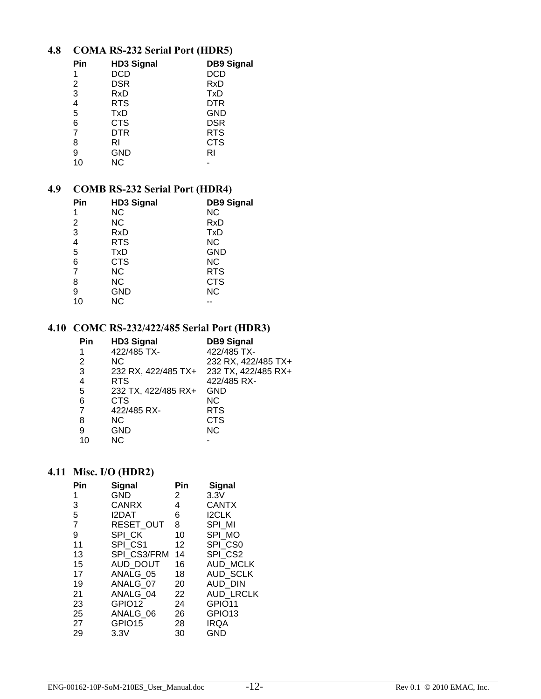#### <span id="page-13-0"></span>**4.8 COMA RS-232 Serial Port (HDR5)**

| Pin | <b>HD3 Signal</b> | <b>DB9 Signal</b> |
|-----|-------------------|-------------------|
| 1   | DCD               | DCD               |
| 2   | <b>DSR</b>        | RxD               |
| 3   | RxD               | TxD               |
| 4   | <b>RTS</b>        | DTR               |
| 5   | <b>TxD</b>        | <b>GND</b>        |
| 6   | <b>CTS</b>        | <b>DSR</b>        |
| 7   | DTR               | <b>RTS</b>        |
| 8   | RI                | <b>CTS</b>        |
| 9   | GND               | RI                |
| 10  | <b>NC</b>         |                   |

#### <span id="page-13-1"></span>**4.9 COMB RS-232 Serial Port (HDR4)**

| <b>HD3 Signal</b> | <b>DB9 Signal</b> |
|-------------------|-------------------|
| <b>NC</b>         | <b>NC</b>         |
| <b>NC</b>         | RxD               |
| RxD               | TxD               |
| <b>RTS</b>        | <b>NC</b>         |
| TxD               | <b>GND</b>        |
| <b>CTS</b>        | <b>NC</b>         |
| <b>NC</b>         | <b>RTS</b>        |
| <b>NC</b>         | <b>CTS</b>        |
| <b>GND</b>        | <b>NC</b>         |
| <b>NC</b>         |                   |
|                   |                   |

#### <span id="page-13-2"></span>**4.10 COMC RS-232/422/485 Serial Port (HDR3)**

| Pin            | <b>HD3 Signal</b>   | <b>DB9 Signal</b>   |
|----------------|---------------------|---------------------|
|                | 422/485 TX-         | 422/485 TX-         |
| 2              | <b>NC</b>           | 232 RX, 422/485 TX+ |
| 3              | 232 RX, 422/485 TX+ | 232 TX, 422/485 RX+ |
| 4              | <b>RTS</b>          | 422/485 RX-         |
| 5              | 232 TX, 422/485 RX+ | GND                 |
| 6              | <b>CTS</b>          | ΝC                  |
| $\overline{7}$ | 422/485 RX-         | <b>RTS</b>          |
| 8              | NC.                 | CTS                 |
| 9              | <b>GND</b>          | <b>NC</b>           |
| 10             | ΝC                  |                     |

#### <span id="page-13-3"></span>**4.11 Misc. I/O (HDR2)**

| Pin | Signal       | Pin | Signal             |  |
|-----|--------------|-----|--------------------|--|
| 1   | GND          | 2   | 3.3V               |  |
| 3   | <b>CANRX</b> | 4   | <b>CANTX</b>       |  |
| 5   | I2DAT        | 6   | <b>I2CLK</b>       |  |
| 7   | RESET OUT    | 8   | SPI MI             |  |
| 9   | SPI CK       | 10  | SPI MO             |  |
| 11  | SPI CS1      | 12  | SPI CS0            |  |
| 13  | SPI CS3/FRM  | 14  | SPI CS2            |  |
| 15  | AUD DOUT     | 16  | <b>AUD MCLK</b>    |  |
| 17  | ANALG 05     | 18  | <b>AUD SCLK</b>    |  |
| 19  | ANALG 07     | 20  | <b>AUD DIN</b>     |  |
| 21  | ANALG 04     | 22  | <b>AUD LRCLK</b>   |  |
| 23  | GPIO12       | 24  | GPIO11             |  |
| 25  | ANALG 06     | 26  | GPIO <sub>13</sub> |  |
| 27  | GPIO15       | 28  | <b>IRQA</b>        |  |
| 29  | 3.3V         | 30  | GND                |  |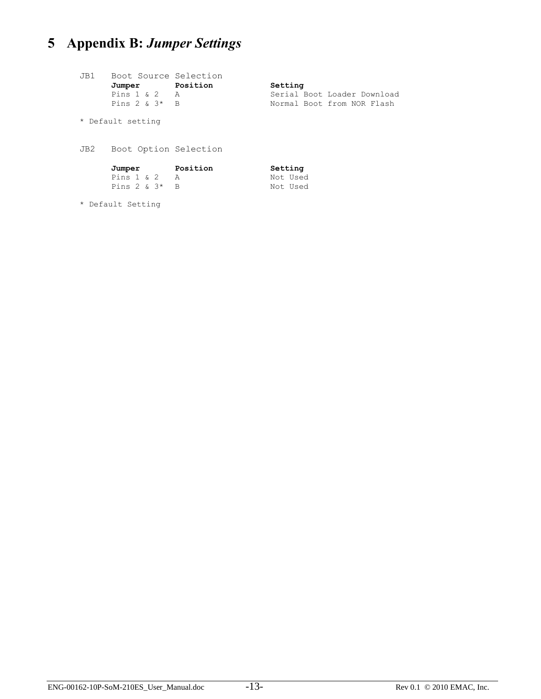# <span id="page-14-0"></span>**5 Appendix B:** *Jumper Settings*

| JB1               | Boot Source Selection  |  |                             |
|-------------------|------------------------|--|-----------------------------|
|                   | Jumper Position        |  | Setting                     |
|                   | Pins $1 \& 2 \qquad A$ |  | Serial Boot Loader Download |
|                   | Pins $2 \& 3*$ B       |  | Normal Boot from NOR Flash  |
|                   |                        |  |                             |
| * Default setting |                        |  |                             |
|                   |                        |  |                             |
|                   |                        |  |                             |
| JB2               | Boot Option Selection  |  |                             |
|                   |                        |  |                             |
|                   | Jumper Position        |  | Setting                     |
|                   | Pins $1 \& 2 \& A$     |  | Not Used                    |
|                   | Pins $2 \times 3^*$ B  |  | Not Used                    |
|                   |                        |  |                             |
| * Default Setting |                        |  |                             |